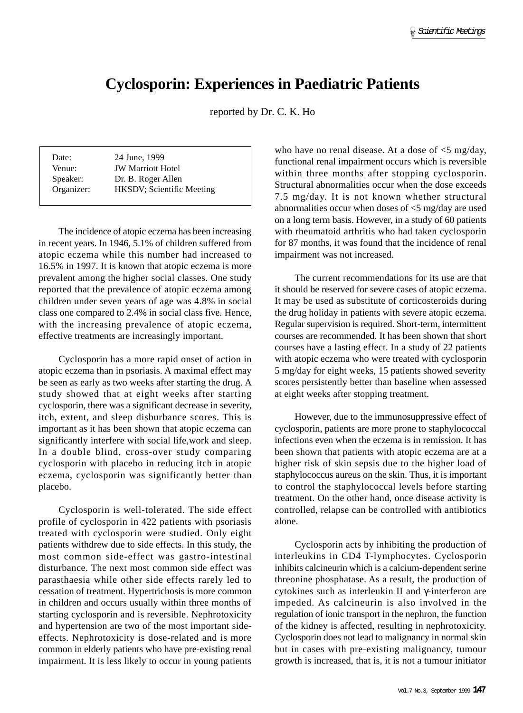## **Cyclosporin: Experiences in Paediatric Patients**

reported by Dr. C. K. Ho

| Date:      | 24 June, 1999                     |
|------------|-----------------------------------|
| Venue:     | <b>JW Marriott Hotel</b>          |
| Speaker:   | Dr. B. Roger Allen                |
| Organizer: | <b>HKSDV</b> ; Scientific Meeting |

The incidence of atopic eczema has been increasing in recent years. In 1946, 5.1% of children suffered from atopic eczema while this number had increased to 16.5% in 1997. It is known that atopic eczema is more prevalent among the higher social classes. One study reported that the prevalence of atopic eczema among children under seven years of age was 4.8% in social class one compared to 2.4% in social class five. Hence, with the increasing prevalence of atopic eczema, effective treatments are increasingly important.

Cyclosporin has a more rapid onset of action in atopic eczema than in psoriasis. A maximal effect may be seen as early as two weeks after starting the drug. A study showed that at eight weeks after starting cyclosporin, there was a significant decrease in severity, itch, extent, and sleep disburbance scores. This is important as it has been shown that atopic eczema can significantly interfere with social life,work and sleep. In a double blind, cross-over study comparing cyclosporin with placebo in reducing itch in atopic eczema, cyclosporin was significantly better than placebo.

Cyclosporin is well-tolerated. The side effect profile of cyclosporin in 422 patients with psoriasis treated with cyclosporin were studied. Only eight patients withdrew due to side effects. In this study, the most common side-effect was gastro-intestinal disturbance. The next most common side effect was parasthaesia while other side effects rarely led to cessation of treatment. Hypertrichosis is more common in children and occurs usually within three months of starting cyclosporin and is reversible. Nephrotoxicity and hypertension are two of the most important sideeffects. Nephrotoxicity is dose-related and is more common in elderly patients who have pre-existing renal impairment. It is less likely to occur in young patients who have no renal disease. At a dose of  $\leq$ 5 mg/day, functional renal impairment occurs which is reversible within three months after stopping cyclosporin. Structural abnormalities occur when the dose exceeds 7.5 mg/day. It is not known whether structural abnormalities occur when doses of <5 mg/day are used on a long term basis. However, in a study of 60 patients with rheumatoid arthritis who had taken cyclosporin for 87 months, it was found that the incidence of renal impairment was not increased.

The current recommendations for its use are that it should be reserved for severe cases of atopic eczema. It may be used as substitute of corticosteroids during the drug holiday in patients with severe atopic eczema. Regular supervision is required. Short-term, intermittent courses are recommended. It has been shown that short courses have a lasting effect. In a study of 22 patients with atopic eczema who were treated with cyclosporin 5 mg/day for eight weeks, 15 patients showed severity scores persistently better than baseline when assessed at eight weeks after stopping treatment.

However, due to the immunosuppressive effect of cyclosporin, patients are more prone to staphylococcal infections even when the eczema is in remission. It has been shown that patients with atopic eczema are at a higher risk of skin sepsis due to the higher load of staphylococcus aureus on the skin. Thus, it is important to control the staphylococcal levels before starting treatment. On the other hand, once disease activity is controlled, relapse can be controlled with antibiotics alone.

Cyclosporin acts by inhibiting the production of interleukins in CD4 T-lymphocytes. Cyclosporin inhibits calcineurin which is a calcium-dependent serine threonine phosphatase. As a result, the production of cytokines such as interleukin II and γ-interferon are impeded. As calcineurin is also involved in the regulation of ionic transport in the nephron, the function of the kidney is affected, resulting in nephrotoxicity. Cyclosporin does not lead to malignancy in normal skin but in cases with pre-existing malignancy, tumour growth is increased, that is, it is not a tumour initiator